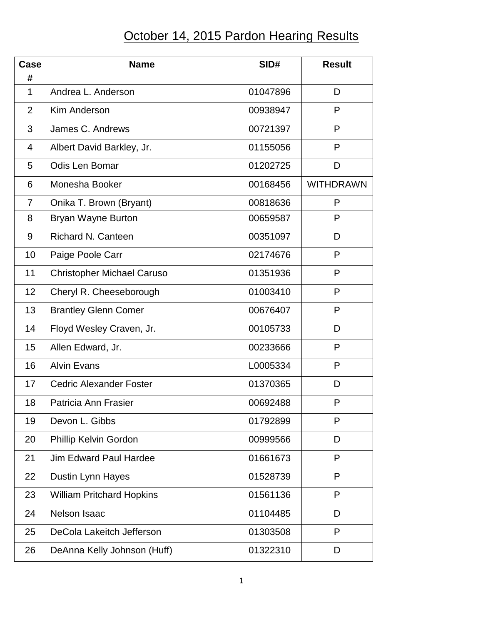## October 14, 2015 Pardon Hearing Results

| Case<br>#      | <b>Name</b>                       | SID#     | <b>Result</b>    |
|----------------|-----------------------------------|----------|------------------|
| $\mathbf{1}$   | Andrea L. Anderson                | 01047896 | D                |
| 2              | <b>Kim Anderson</b>               | 00938947 | P                |
| 3              | James C. Andrews                  | 00721397 | P                |
| 4              | Albert David Barkley, Jr.         | 01155056 | P                |
| 5              | <b>Odis Len Bomar</b>             | 01202725 | D                |
| 6              | Monesha Booker                    | 00168456 | <b>WITHDRAWN</b> |
| $\overline{7}$ | Onika T. Brown (Bryant)           | 00818636 | P                |
| 8              | Bryan Wayne Burton                | 00659587 | P                |
| 9              | <b>Richard N. Canteen</b>         | 00351097 | D                |
| 10             | Paige Poole Carr                  | 02174676 | P                |
| 11             | <b>Christopher Michael Caruso</b> | 01351936 | P                |
| 12             | Cheryl R. Cheeseborough           | 01003410 | P                |
| 13             | <b>Brantley Glenn Comer</b>       | 00676407 | P                |
| 14             | Floyd Wesley Craven, Jr.          | 00105733 | D                |
| 15             | Allen Edward, Jr.                 | 00233666 | P                |
| 16             | <b>Alvin Evans</b>                | L0005334 | P                |
| 17             | <b>Cedric Alexander Foster</b>    | 01370365 | D                |
| 18             | Patricia Ann Frasier              | 00692488 | P                |
| 19             | Devon L. Gibbs                    | 01792899 | P                |
| 20             | Phillip Kelvin Gordon             | 00999566 | D                |
| 21             | <b>Jim Edward Paul Hardee</b>     | 01661673 | P                |
| 22             | Dustin Lynn Hayes                 | 01528739 | P                |
| 23             | <b>William Pritchard Hopkins</b>  | 01561136 | P                |
| 24             | <b>Nelson Isaac</b>               | 01104485 | D                |
| 25             | DeCola Lakeitch Jefferson         | 01303508 | P                |
| 26             | DeAnna Kelly Johnson (Huff)       | 01322310 | D                |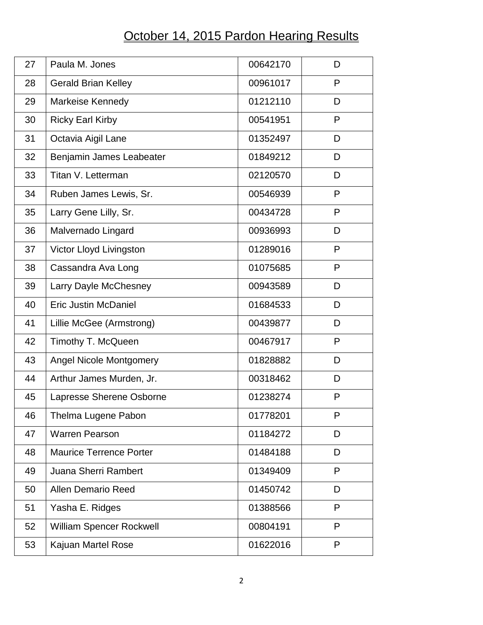## October 14, 2015 Pardon Hearing Results

| 27 | Paula M. Jones                  | 00642170 | D |
|----|---------------------------------|----------|---|
| 28 | <b>Gerald Brian Kelley</b>      | 00961017 | P |
| 29 | Markeise Kennedy                | 01212110 | D |
| 30 | <b>Ricky Earl Kirby</b>         | 00541951 | P |
| 31 | Octavia Aigil Lane              | 01352497 | D |
| 32 | Benjamin James Leabeater        | 01849212 | D |
| 33 | Titan V. Letterman              | 02120570 | D |
| 34 | Ruben James Lewis, Sr.          | 00546939 | P |
| 35 | Larry Gene Lilly, Sr.           | 00434728 | P |
| 36 | Malvernado Lingard              | 00936993 | D |
| 37 | Victor Lloyd Livingston         | 01289016 | P |
| 38 | Cassandra Ava Long              | 01075685 | P |
| 39 | Larry Dayle McChesney           | 00943589 | D |
| 40 | <b>Eric Justin McDaniel</b>     | 01684533 | D |
| 41 | Lillie McGee (Armstrong)        | 00439877 | D |
| 42 | Timothy T. McQueen              | 00467917 | P |
| 43 | <b>Angel Nicole Montgomery</b>  | 01828882 | D |
| 44 | Arthur James Murden, Jr.        | 00318462 | D |
| 45 | Lapresse Sherene Osborne        | 01238274 | P |
| 46 | Thelma Lugene Pabon             | 01778201 | P |
| 47 | <b>Warren Pearson</b>           | 01184272 | D |
| 48 | <b>Maurice Terrence Porter</b>  | 01484188 | D |
| 49 | <b>Juana Sherri Rambert</b>     | 01349409 | P |
| 50 | <b>Allen Demario Reed</b>       | 01450742 | D |
| 51 | Yasha E. Ridges                 | 01388566 | P |
| 52 | <b>William Spencer Rockwell</b> | 00804191 | P |
| 53 | Kajuan Martel Rose              | 01622016 | P |
|    |                                 |          |   |